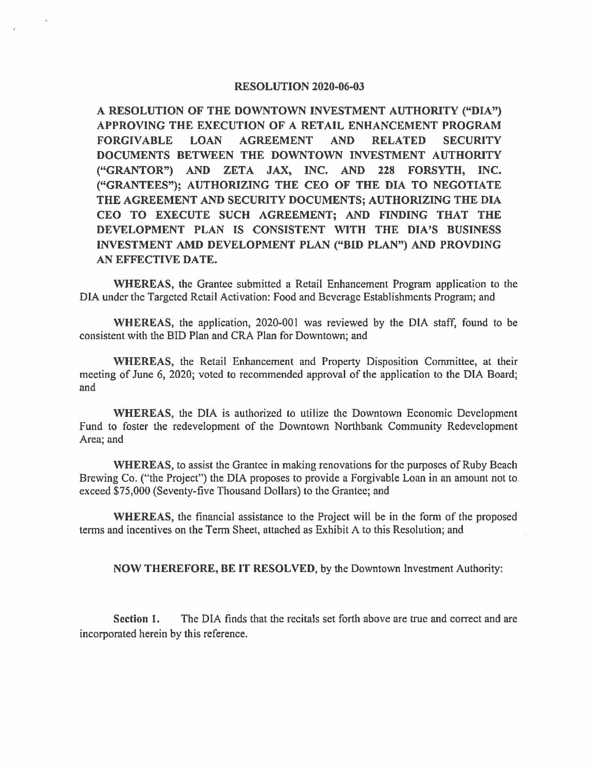#### RESOLUTION 2020-06-03

A RESOLUTION OF THE DOWNTOWN INVESTMENT AUTHORITY ("DIA") APPROVING THE EXECUTION OF A RETAIL ENHANCEMENT PROGRAM FORGIVABLE LOAN AGREEMENT AND RELATED SECURITY DOCUMENTS BETWEEN THE DOWNTOWN INVESTMENT AUTHORITY ("GRANTOR") AND ZETA JAX, INC. AND 228 FORSYTH, INC. **("GRANTEES"); AUTHORIZING THE CEO OF THE DIA TO NEGOTIATE THE AGREEMENT AND SECURITY DOCUMENTS; AUTHORIZING THE DIA CEO TO EXECUTE SUCH AGREEMENT; AND FINDING THAT THE DEVELOPMENT PLAN IS CONSISTENT WITH THE DIA'S BUSINESS INVESTMENT AMD DEVELOPMENT PLAN ("BID PLAN") AND PROVDING AN EFFECTIVE DA TE.** 

**WHEREAS,** the Grantee submitted a Retail Enhancement Program application to the DIA under the Targeted Retail Activation: Food and Beverage Establishments Program; and

**WHEREAS,** the application, 2020-001 was reviewed by the DIA staff, found to be consistent with the BID Plan and CRA Plan for Downtown; and

**WHEREAS,** the Retail Enhancement and Property Disposition Committee, at their meeting of June 6, 2020; voted to recommended approval of the application to the DIA Board; and

**WHEREAS,** the DIA is authorized to utilize the Downtown Economic Development Fund to foster the redevelopment of the Downtown Northbank Community Redevelopment Arca; and

**WHEREAS,** to assist the Grantee in making renovations for the purposes of Ruby Beach Brewing Co. ("the Project") the DIA proposes to provide a Forgivable Loan in an amount not to exceed \$75,000 (Seventy-five Thousand Dollars) to the Grantee; and

**WHEREAS,** the financial assistance to the Project will be in the form of the proposed terms and incentives on the Term Sheet, attached as Exhibit A to this Resolution; and

**NOW THEREFORE, BE IT RESOLVED,** by the Downtown Investment Authority:

**Section** I. The DIA finds that the recitals set forth above are true and correct and are incorporated herein by this reference.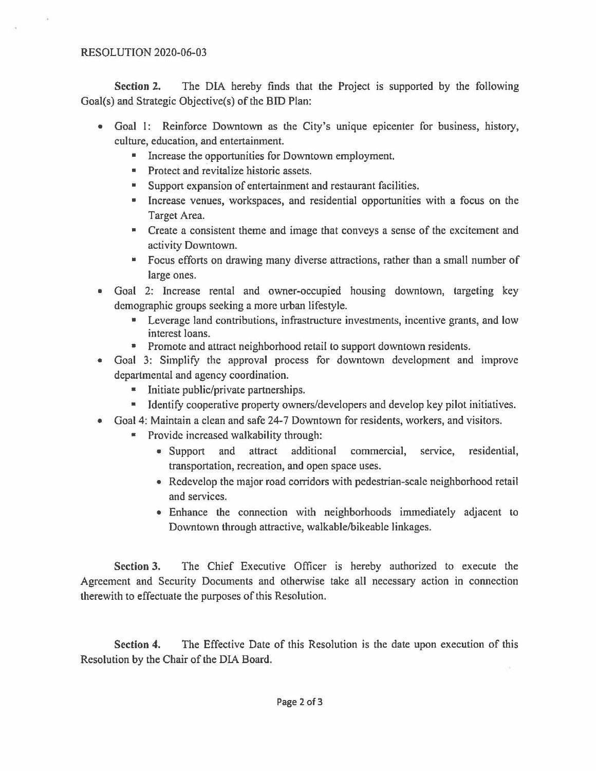**Section 2.** The DIA hereby finds that the Project is supported by the following Goal(s) and Strategic Objective(s) of the BID Plan:

- Goal I: Reinforce Downtown as the City's unique epicenter for business, history, culture, education, and entertainment.
	- Increase the opportunities for Downtown employment.
	- **•** Protect and revitalize historic assets.
	- Support expansion of entertainment and restaurant facilities.
	- Increase venues, workspaces, and residential opportunities with a focus on the Target Area.
	- Create a consistent theme and image that conveys a sense of the excitement and activity Downtown.
	- Focus efforts on drawing many diverse attractions, rather than a small number of large ones.
- Goal 2: Increase rental and owner-occupied housing downtown, targeting key demographic groups seeking a more urban lifestyle.
	- Leverage land contributions, infrastructure investments, incentive grants, and low interest loans.
	- **•** Promote and attract neighborhood retail to support downtown residents.
- Goal 3: Simplify the approval process for downtown development and improve departmental and agency coordination.
	- Initiate public/private partnerships.
	- Identify cooperative property owners/developers and develop key pilot initiatives.
- Goal 4: Maintain a clean and safe 24-7 Downtown for residents, workers, and visitors.
	- Provide increased walkability through:
		- Support and attract additional commercial, service, residential, transportation, recreation, and open space uses.
		- Redevelop the major road corridors with pedestrian-scale neighborhood retail and services.
		- Enhance the connection with neighborhoods immediately adjacent to Downtown through attractive, walkable/bikeable linkages.

**Section 3.** The Chief Executive Officer is hereby authorized to execute the Agreement and Security Documents and otherwise take all necessary action in connection therewith to effectuate the purposes of this Resolution.

**Section 4.** The Effective Date of this Resolution is the date upon execution of this Resolution by the Chair of the DIA Board.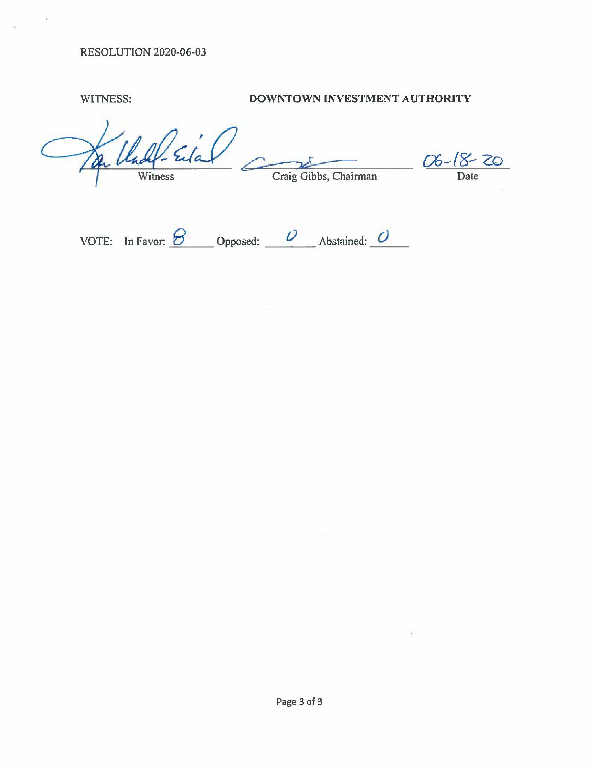### RESOLUTION 2020-06-03

## WITNESS: **DOWNTOWN INVESTMENT AUTHORITY**

 $ln 4.20$ Witness Craig Gibbs, Chairman Date

| VOTE: In Favor: $\sigma$ | Opposed: | Abstained: $\overline{U}$ |  |
|--------------------------|----------|---------------------------|--|
|                          |          |                           |  |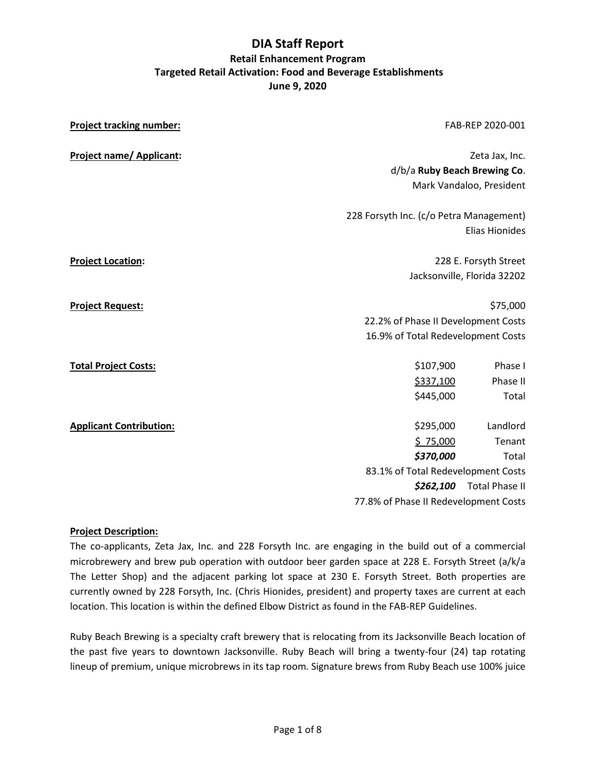| <b>Project tracking number:</b> |                                                                          | FAB-REP 2020-001                                                                      |  |  |  |
|---------------------------------|--------------------------------------------------------------------------|---------------------------------------------------------------------------------------|--|--|--|
| <b>Project name/ Applicant:</b> | d/b/a Ruby Beach Brewing Co.                                             | Zeta Jax, Inc.<br>Mark Vandaloo, President                                            |  |  |  |
|                                 | 228 Forsyth Inc. (c/o Petra Management)<br><b>Elias Hionides</b>         |                                                                                       |  |  |  |
| <b>Project Location:</b>        |                                                                          | 228 E. Forsyth Street<br>Jacksonville, Florida 32202                                  |  |  |  |
| <b>Project Request:</b>         |                                                                          | \$75,000<br>22.2% of Phase II Development Costs<br>16.9% of Total Redevelopment Costs |  |  |  |
| <b>Total Project Costs:</b>     | \$107,900<br>\$337,100<br>\$445,000                                      | Phase I<br>Phase II<br>Total                                                          |  |  |  |
| <b>Applicant Contribution:</b>  | \$295,000<br>\$75,000<br>\$370,000<br>83.1% of Total Redevelopment Costs | Landlord<br>Tenant<br>Total                                                           |  |  |  |
|                                 | 77.8% of Phase II Redevelopment Costs                                    | \$262,100 Total Phase II                                                              |  |  |  |

#### **Project Description:**

The co-applicants, Zeta Jax, Inc. and 228 Forsyth Inc. are engaging in the build out of a commercial microbrewery and brew pub operation with outdoor beer garden space at 228 E. Forsyth Street (a/k/a The Letter Shop) and the adjacent parking lot space at 230 E. Forsyth Street. Both properties are currently owned by 228 Forsyth, Inc. (Chris Hionides, president) and property taxes are current at each location. This location is within the defined Elbow District as found in the FAB-REP Guidelines.

Ruby Beach Brewing is a specialty craft brewery that is relocating from its Jacksonville Beach location of the past five years to downtown Jacksonville. Ruby Beach will bring a twenty-four (24) tap rotating lineup of premium, unique microbrews in its tap room. Signature brews from Ruby Beach use 100% juice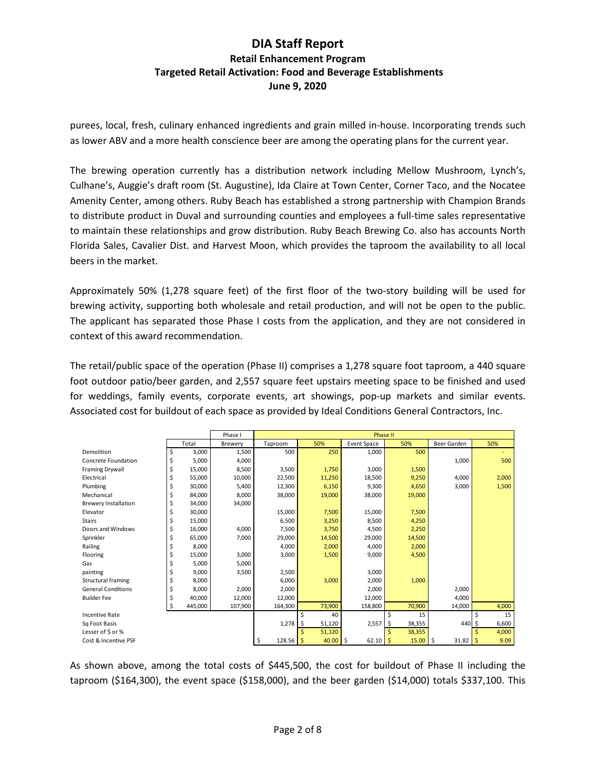purees, local, fresh, culinary enhanced ingredients and grain milled in-house. Incorporating trends such as lower ABV and a more health conscience beer are among the operating plans for the current year.

The brewing operation currently has a distribution network including Mellow Mushroom, Lynch's, Culhane's, Auggie's draft room (St. Augustine), Ida Claire at Town Center, Corner Taco, and the Nocatee Amenity Center, among others. Ruby Beach has established a strong partnership with Champion Brands to distribute product in Duval and surrounding counties and employees a full-time sales representative to maintain these relationships and grow distribution. Ruby Beach Brewing Co. also has accounts North Florida Sales, Cavalier Dist. and Harvest Moon, which provides the taproom the availability to all local beers in the market.

Approximately 50% (1,278 square feet) of the first floor of the two-story building will be used for brewing activity, supporting both wholesale and retail production, and will not be open to the public. The applicant has separated those Phase I costs from the application, and they are not considered in context of this award recommendation.

The retail/public space of the operation (Phase II) comprises a 1,278 square foot taproom, a 440 square foot outdoor patio/beer garden, and 2,557 square feet upstairs meeting space to be finished and used for weddings, family events, corporate events, art showings, pop-up markets and similar events. Associated cost for buildout of each space as provided by Ideal Conditions General Contractors, Inc.

|                             |               | Phase I | Phase II     |     |            |             |                 |             |            |
|-----------------------------|---------------|---------|--------------|-----|------------|-------------|-----------------|-------------|------------|
|                             | Total         | Brewery | Taproom      |     | 50%        | Event Space | 50%             | Beer Garden | 50%        |
| Demolition                  | \$<br>3,000   | 1,500   | 500          |     | 250        | 1,000       | 500             |             |            |
| Concrete Foundation         | \$<br>5,000   | 4,000   |              |     |            |             |                 | 1,000       | 500        |
| <b>Framing Drywall</b>      | \$<br>15,000  | 8,500   | 3,500        |     | 1,750      | 3,000       | 1,500           |             |            |
| Electrical                  | \$<br>55,000  | 10,000  | 22,500       |     | 11,250     | 18,500      | 9,250           | 4,000       | 2,000      |
| Plumbing                    | \$<br>30.000  | 5.400   | 12,300       |     | 6,150      | 9,300       | 4,650           | 3,000       | 1,500      |
| Mechanical                  | \$<br>84,000  | 8.000   | 38,000       |     | 19,000     | 38,000      | 19,000          |             |            |
| <b>Brewery Installation</b> | \$<br>34,000  | 34,000  |              |     |            |             |                 |             |            |
| Elevator                    | \$<br>30,000  |         | 15,000       |     | 7,500      | 15,000      | 7,500           |             |            |
| <b>Stairs</b>               | \$<br>15,000  |         | 6,500        |     | 3,250      | 8,500       | 4,250           |             |            |
| Doors and Windows           | \$<br>16,000  | 4,000   | 7,500        |     | 3,750      | 4,500       | 2,250           |             |            |
| Sprinkler                   | \$<br>65.000  | 7.000   | 29,000       |     | 14,500     | 29.000      | 14,500          |             |            |
| Railing                     | \$<br>8.000   |         | 4,000        |     | 2,000      | 4,000       | 2,000           |             |            |
| Flooring                    | \$<br>15,000  | 3,000   | 3,000        |     | 1,500      | 9,000       | 4,500           |             |            |
| Gas                         | \$<br>5,000   | 5,000   |              |     |            |             |                 |             |            |
| painting                    | \$<br>9,000   | 3,500   | 2,500        |     |            | 3,000       |                 |             |            |
| Structural framing          | \$<br>8,000   |         | 6,000        |     | 3,000      | 2,000       | 1,000           |             |            |
| <b>General Conditions</b>   | \$<br>8,000   | 2,000   | 2,000        |     |            | 2,000       |                 | 2,000       |            |
| <b>Builder Fee</b>          | \$<br>40.000  | 12.000  | 12,000       |     |            | 12.000      |                 | 4.000       |            |
|                             | \$<br>445,000 | 107,900 | 164,300      |     | 73,900     | 158,800     | 70,900          | 14,000      | 4,000      |
| <b>Incentive Rate</b>       |               |         |              | Ś   | 40         |             | \$<br>15        |             | \$<br>15   |
| Sq Foot Basis               |               |         | 1,278        | -\$ | 51,120     | 2,557       | 38,355<br>\$    | $440 \le$   | 6,600      |
| Lesser of \$ or %           |               |         |              |     | 51,120     |             | \$<br>38,355    |             | Ś<br>4,000 |
| Cost & Incentive PSF        |               |         | 128.56<br>\$ |     | $40.00$ \$ | 62.10       | $15.00$ \$<br>S | 31.82       | 9.09<br>S  |

As shown above, among the total costs of \$445,500, the cost for buildout of Phase II including the taproom (\$164,300), the event space (\$158,000), and the beer garden (\$14,000) totals \$337,100. This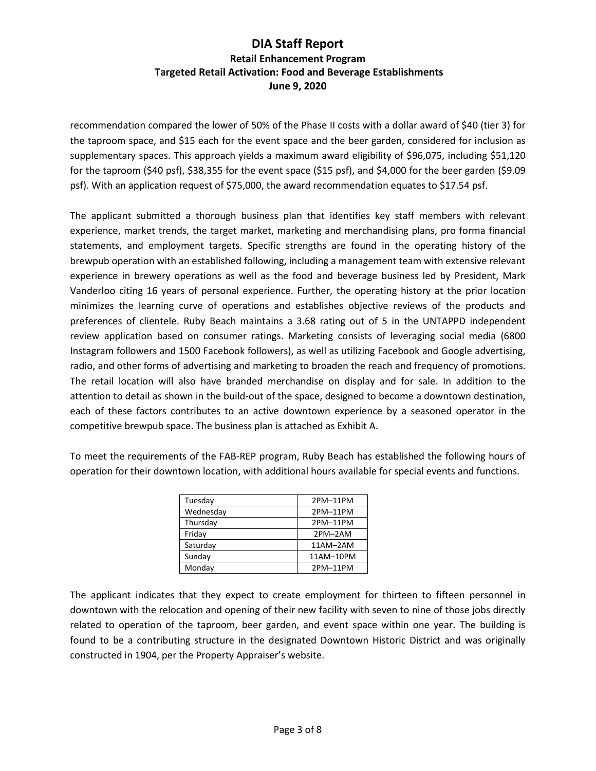recommendation compared the lower of 50% of the Phase II costs with a dollar award of \$40 (tier 3) for the taproom space, and \$15 each for the event space and the beer garden, considered for inclusion as supplementary spaces. This approach yields a maximum award eligibility of \$96,075, including \$51,120 for the taproom (\$40 psf), \$38,355 for the event space (\$15 psf), and \$4,000 for the beer garden (\$9.09 psf). With an application request of \$75,000, the award recommendation equates to \$17.54 psf.

The applicant submitted a thorough business plan that identifies key staff members with relevant experience, market trends, the target market, marketing and merchandising plans, pro forma financial statements, and employment targets. Specific strengths are found in the operating history of the brewpub operation with an established following, including a management team with extensive relevant experience in brewery operations as well as the food and beverage business led by President, Mark Vanderloo citing 16 years of personal experience. Further, the operating history at the prior location minimizes the learning curve of operations and establishes objective reviews of the products and preferences of clientele. Ruby Beach maintains a 3.68 rating out of 5 in the UNTAPPD independent review application based on consumer ratings. Marketing consists of leveraging social media (6800 Instagram followers and 1500 Facebook followers), as well as utilizing Facebook and Google advertising, radio, and other forms of advertising and marketing to broaden the reach and frequency of promotions. The retail location will also have branded merchandise on display and for sale. In addition to the attention to detail as shown in the build-out of the space, designed to become a downtown destination, each of these factors contributes to an active downtown experience by a seasoned operator in the competitive brewpub space. The business plan is attached as Exhibit A.

To meet the requirements of the FAB-REP program, Ruby Beach has established the following hours of operation for their downtown location, with additional hours available for special events and functions.

| Tuesday   | 2PM-11PM  |
|-----------|-----------|
| Wednesday | 2PM-11PM  |
| Thursday  | 2PM-11PM  |
| Friday    | 2PM-2AM   |
| Saturday  | 11AM-2AM  |
| Sunday    | 11AM-10PM |
| Monday    | 2PM-11PM  |

The applicant indicates that they expect to create employment for thirteen to fifteen personnel in downtown with the relocation and opening of their new facility with seven to nine of those jobs directly related to operation of the taproom, beer garden, and event space within one year. The building is found to be a contributing structure in the designated Downtown Historic District and was originally constructed in 1904, per the Property Appraiser's website.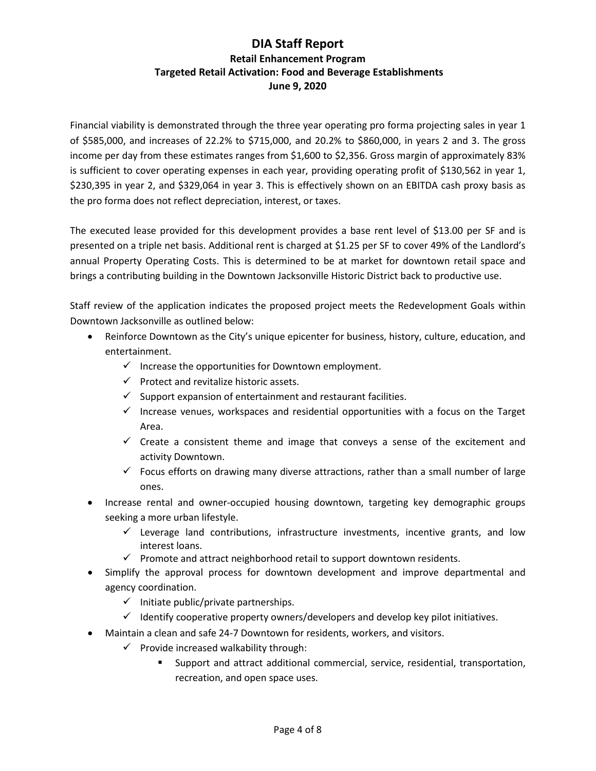Financial viability is demonstrated through the three year operating pro forma projecting sales in year 1 of \$585,000, and increases of 22.2% to \$715,000, and 20.2% to \$860,000, in years 2 and 3. The gross income per day from these estimates ranges from \$1,600 to \$2,356. Gross margin of approximately 83% is sufficient to cover operating expenses in each year, providing operating profit of \$130,562 in year 1, \$230,395 in year 2, and \$329,064 in year 3. This is effectively shown on an EBITDA cash proxy basis as the pro forma does not reflect depreciation, interest, or taxes.

The executed lease provided for this development provides a base rent level of \$13.00 per SF and is presented on a triple net basis. Additional rent is charged at \$1.25 per SF to cover 49% of the Landlord's annual Property Operating Costs. This is determined to be at market for downtown retail space and brings a contributing building in the Downtown Jacksonville Historic District back to productive use.

Staff review of the application indicates the proposed project meets the Redevelopment Goals within Downtown Jacksonville as outlined below:

- Reinforce Downtown as the City's unique epicenter for business, history, culture, education, and entertainment.
	- $\checkmark$  Increase the opportunities for Downtown employment.
	- $\checkmark$  Protect and revitalize historic assets.
	- $\checkmark$  Support expansion of entertainment and restaurant facilities.
	- $\checkmark$  Increase venues, workspaces and residential opportunities with a focus on the Target Area.
	- $\checkmark$  Create a consistent theme and image that conveys a sense of the excitement and activity Downtown.
	- $\checkmark$  Focus efforts on drawing many diverse attractions, rather than a small number of large ones.
- Increase rental and owner-occupied housing downtown, targeting key demographic groups seeking a more urban lifestyle.
	- $\checkmark$  Leverage land contributions, infrastructure investments, incentive grants, and low interest loans.
	- $\checkmark$  Promote and attract neighborhood retail to support downtown residents.
- Simplify the approval process for downtown development and improve departmental and agency coordination.
	- $\checkmark$  Initiate public/private partnerships.
	- $\checkmark$  Identify cooperative property owners/developers and develop key pilot initiatives.
- Maintain a clean and safe 24-7 Downtown for residents, workers, and visitors.
	- $\checkmark$  Provide increased walkability through:
		- Support and attract additional commercial, service, residential, transportation, recreation, and open space uses.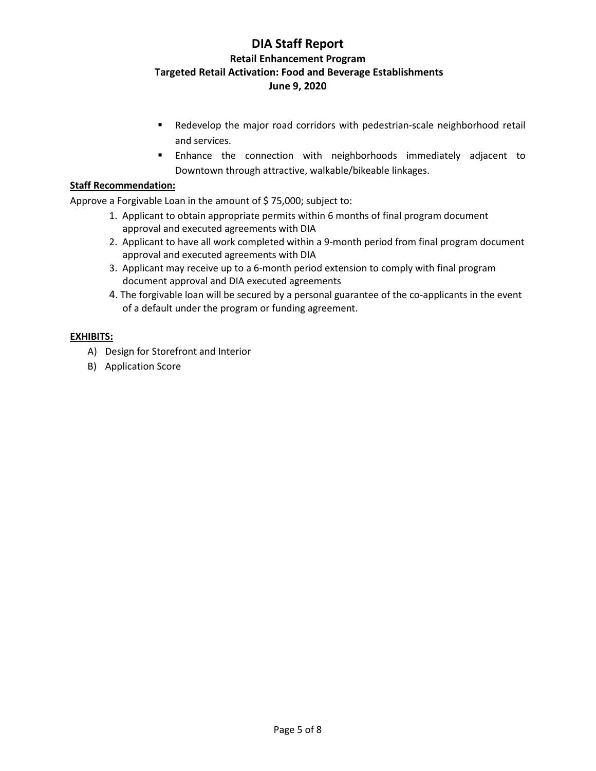- Redevelop the major road corridors with pedestrian-scale neighborhood retail and services.
- Enhance the connection with neighborhoods immediately adjacent to Downtown through attractive, walkable/bikeable linkages.

#### **Staff Recommendation:**

Approve a Forgivable Loan in the amount of \$75,000; subject to:

- 1. Applicant to obtain appropriate permits within 6 months of final program document approval and executed agreements with DIA
- 2. Applicant to have all work completed within a 9-month period from final program document approval and executed agreements with DIA
- 3. Applicant may receive up to a 6-month period extension to comply with final program document approval and DIA executed agreements
- 4. The forgivable loan will be secured by a personal guarantee of the co-applicants in the event of a default under the program or funding agreement.

#### **EXHIBITS:**

- A) Design for Storefront and Interior
- B) Application Score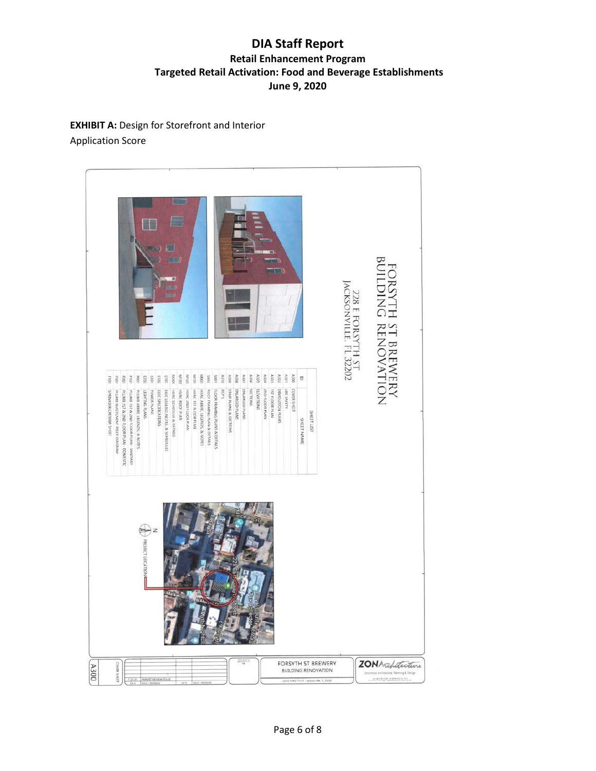**EXHIBIT A: Design for Storefront and Interior** Application Score

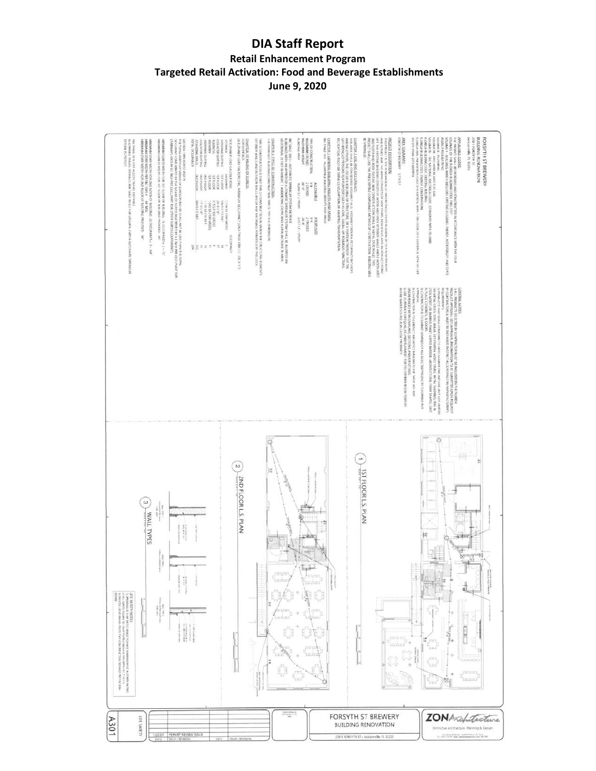